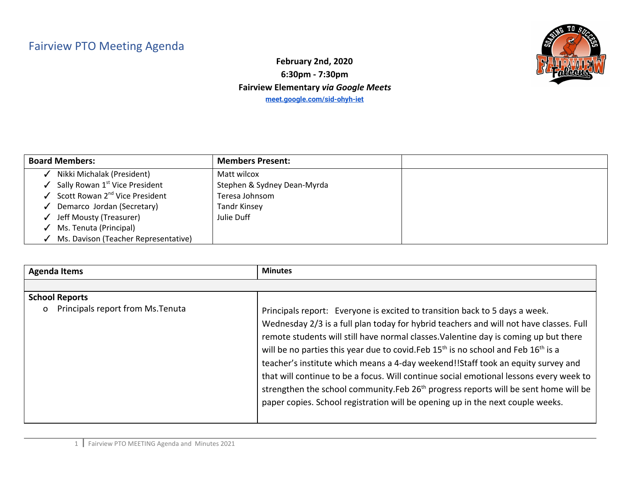## Fairview PTO Meeting Agenda



**February 2nd, 2020 6:30pm - 7:30pm Fairview Elementary** *via Google Meets* **[meet.google.com/sid-ohyh-iet](http://meet.google.com/sid-ohyh-iet)**

| <b>Board Members:</b>                      | <b>Members Present:</b>     |  |
|--------------------------------------------|-----------------------------|--|
| Nikki Michalak (President)                 | Matt wilcox                 |  |
| Sally Rowan 1 <sup>st</sup> Vice President | Stephen & Sydney Dean-Myrda |  |
| Scott Rowan 2 <sup>nd</sup> Vice President | Teresa Johnsom              |  |
| Demarco Jordan (Secretary)                 | <b>Tandr Kinsey</b>         |  |
| Jeff Mousty (Treasurer)                    | Julie Duff                  |  |
| Ms. Tenuta (Principal)                     |                             |  |
| Ms. Davison (Teacher Representative)       |                             |  |

| <b>Agenda Items</b>                                                    | <b>Minutes</b>                                                                                                                                                                                                                                                                                                                                                                                                                                                  |
|------------------------------------------------------------------------|-----------------------------------------------------------------------------------------------------------------------------------------------------------------------------------------------------------------------------------------------------------------------------------------------------------------------------------------------------------------------------------------------------------------------------------------------------------------|
|                                                                        |                                                                                                                                                                                                                                                                                                                                                                                                                                                                 |
| <b>School Reports</b><br>Principals report from Ms. Tenuta<br>$\Omega$ | Principals report: Everyone is excited to transition back to 5 days a week.<br>Wednesday 2/3 is a full plan today for hybrid teachers and will not have classes. Full<br>remote students will still have normal classes. Valentine day is coming up but there<br>will be no parties this year due to covid. Feb 15 <sup>th</sup> is no school and Feb 16 <sup>th</sup> is a<br>teacher's institute which means a 4-day weekend!!Staff took an equity survey and |
|                                                                        | that will continue to be a focus. Will continue social emotional lessons every week to<br>strengthen the school community. Feb 26 <sup>th</sup> progress reports will be sent home will be<br>paper copies. School registration will be opening up in the next couple weeks.                                                                                                                                                                                    |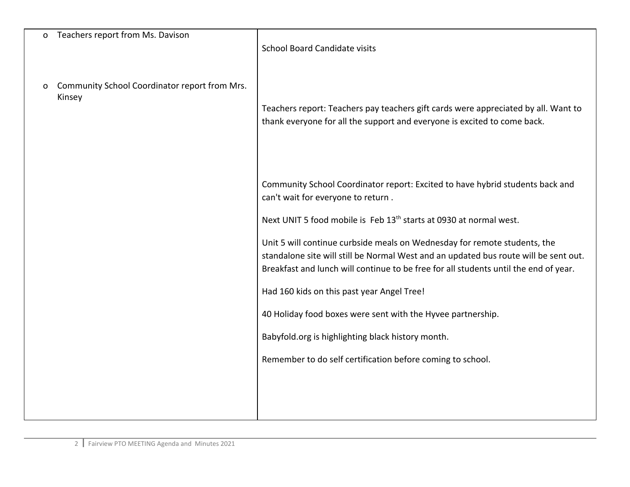| 0 | Teachers report from Ms. Davison                        | <b>School Board Candidate visits</b>                                                                                                                                                                                                                      |
|---|---------------------------------------------------------|-----------------------------------------------------------------------------------------------------------------------------------------------------------------------------------------------------------------------------------------------------------|
| O | Community School Coordinator report from Mrs.<br>Kinsey | Teachers report: Teachers pay teachers gift cards were appreciated by all. Want to<br>thank everyone for all the support and everyone is excited to come back.                                                                                            |
|   |                                                         | Community School Coordinator report: Excited to have hybrid students back and<br>can't wait for everyone to return.                                                                                                                                       |
|   |                                                         | Next UNIT 5 food mobile is Feb 13 <sup>th</sup> starts at 0930 at normal west.                                                                                                                                                                            |
|   |                                                         | Unit 5 will continue curbside meals on Wednesday for remote students, the<br>standalone site will still be Normal West and an updated bus route will be sent out.<br>Breakfast and lunch will continue to be free for all students until the end of year. |
|   |                                                         | Had 160 kids on this past year Angel Tree!                                                                                                                                                                                                                |
|   |                                                         | 40 Holiday food boxes were sent with the Hyvee partnership.                                                                                                                                                                                               |
|   |                                                         | Babyfold.org is highlighting black history month.                                                                                                                                                                                                         |
|   |                                                         | Remember to do self certification before coming to school.                                                                                                                                                                                                |
|   |                                                         |                                                                                                                                                                                                                                                           |
|   |                                                         |                                                                                                                                                                                                                                                           |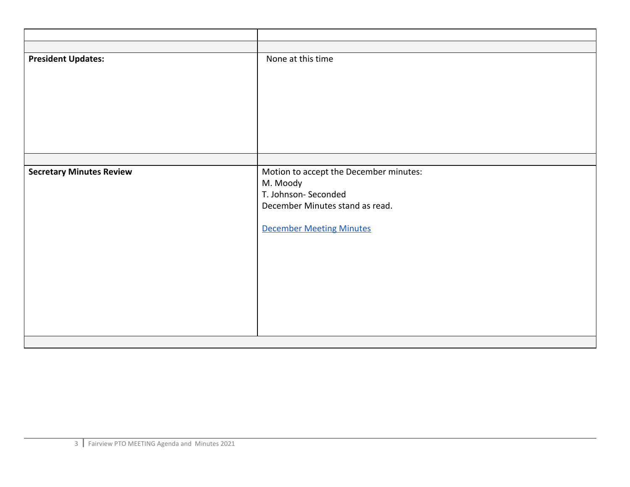| <b>President Updates:</b>       | None at this time                                                                                                                               |
|---------------------------------|-------------------------------------------------------------------------------------------------------------------------------------------------|
|                                 |                                                                                                                                                 |
| <b>Secretary Minutes Review</b> | Motion to accept the December minutes:<br>M. Moody<br>T. Johnson-Seconded<br>December Minutes stand as read.<br><b>December Meeting Minutes</b> |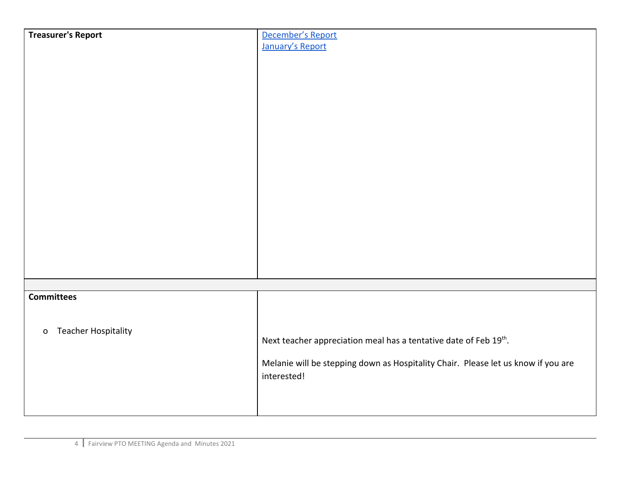| <b>Treasurer's Report</b>                  | December's Report                                                                 |
|--------------------------------------------|-----------------------------------------------------------------------------------|
|                                            | January's Report                                                                  |
|                                            |                                                                                   |
|                                            |                                                                                   |
|                                            |                                                                                   |
|                                            |                                                                                   |
|                                            |                                                                                   |
|                                            |                                                                                   |
|                                            |                                                                                   |
|                                            |                                                                                   |
|                                            |                                                                                   |
|                                            |                                                                                   |
|                                            |                                                                                   |
|                                            |                                                                                   |
|                                            |                                                                                   |
|                                            |                                                                                   |
|                                            |                                                                                   |
|                                            |                                                                                   |
|                                            |                                                                                   |
|                                            |                                                                                   |
|                                            |                                                                                   |
|                                            |                                                                                   |
| <b>Committees</b>                          |                                                                                   |
|                                            |                                                                                   |
|                                            |                                                                                   |
| <b>Teacher Hospitality</b><br>$\mathsf{o}$ |                                                                                   |
|                                            | Next teacher appreciation meal has a tentative date of Feb 19th.                  |
|                                            |                                                                                   |
|                                            | Melanie will be stepping down as Hospitality Chair. Please let us know if you are |
|                                            | interested!                                                                       |
|                                            |                                                                                   |
|                                            |                                                                                   |
|                                            |                                                                                   |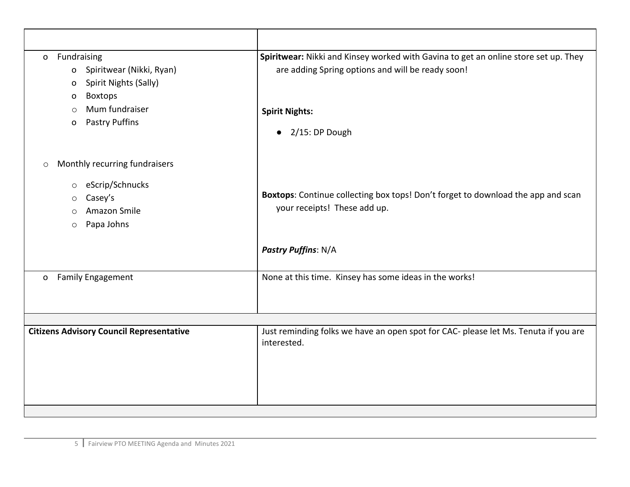| Fundraising<br>$\mathsf{o}$<br>Spiritwear (Nikki, Ryan)<br>$\mathbf{o}$<br>Spirit Nights (Sally)<br>$\circ$<br><b>Boxtops</b><br>O<br>Mum fundraiser<br>$\circ$<br><b>Pastry Puffins</b><br>0 | Spiritwear: Nikki and Kinsey worked with Gavina to get an online store set up. They<br>are adding Spring options and will be ready soon!<br><b>Spirit Nights:</b><br>$\bullet$ 2/15: DP Dough |
|-----------------------------------------------------------------------------------------------------------------------------------------------------------------------------------------------|-----------------------------------------------------------------------------------------------------------------------------------------------------------------------------------------------|
| Monthly recurring fundraisers<br>$\circ$<br>eScrip/Schnucks<br>$\circ$<br>Casey's<br>$\circ$<br>Amazon Smile<br>O<br>Papa Johns<br>$\circ$                                                    | Boxtops: Continue collecting box tops! Don't forget to download the app and scan<br>your receipts! These add up.<br>Pastry Puffins: N/A                                                       |
| <b>Family Engagement</b><br>$\mathsf{O}$                                                                                                                                                      | None at this time. Kinsey has some ideas in the works!                                                                                                                                        |
| <b>Citizens Advisory Council Representative</b>                                                                                                                                               | Just reminding folks we have an open spot for CAC- please let Ms. Tenuta if you are<br>interested.                                                                                            |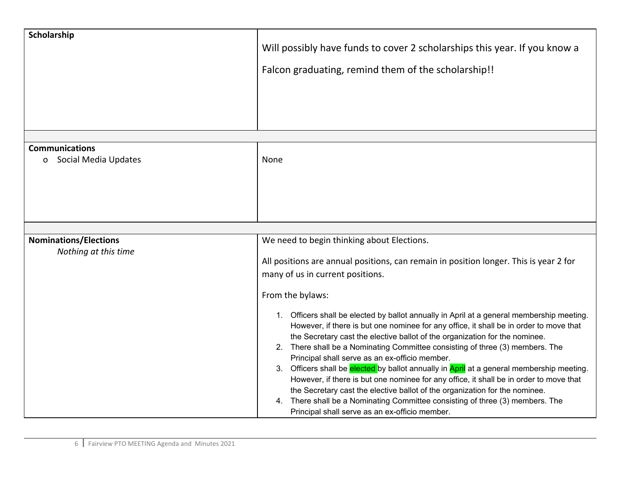| Scholarship                                                   | Will possibly have funds to cover 2 scholarships this year. If you know a<br>Falcon graduating, remind them of the scholarship!!                                                                                                                                                                                                                                                                                                                                                                                                                                                                                                                                                                                                                                                                                                                                                                                                                                   |
|---------------------------------------------------------------|--------------------------------------------------------------------------------------------------------------------------------------------------------------------------------------------------------------------------------------------------------------------------------------------------------------------------------------------------------------------------------------------------------------------------------------------------------------------------------------------------------------------------------------------------------------------------------------------------------------------------------------------------------------------------------------------------------------------------------------------------------------------------------------------------------------------------------------------------------------------------------------------------------------------------------------------------------------------|
|                                                               |                                                                                                                                                                                                                                                                                                                                                                                                                                                                                                                                                                                                                                                                                                                                                                                                                                                                                                                                                                    |
| <b>Communications</b><br>Social Media Updates<br>$\mathbf{O}$ | None                                                                                                                                                                                                                                                                                                                                                                                                                                                                                                                                                                                                                                                                                                                                                                                                                                                                                                                                                               |
| <b>Nominations/Elections</b>                                  | We need to begin thinking about Elections.                                                                                                                                                                                                                                                                                                                                                                                                                                                                                                                                                                                                                                                                                                                                                                                                                                                                                                                         |
| Nothing at this time                                          | All positions are annual positions, can remain in position longer. This is year 2 for<br>many of us in current positions.<br>From the bylaws:<br>1. Officers shall be elected by ballot annually in April at a general membership meeting.<br>However, if there is but one nominee for any office, it shall be in order to move that<br>the Secretary cast the elective ballot of the organization for the nominee.<br>2. There shall be a Nominating Committee consisting of three (3) members. The<br>Principal shall serve as an ex-officio member.<br>3. Officers shall be elected by ballot annually in April at a general membership meeting.<br>However, if there is but one nominee for any office, it shall be in order to move that<br>the Secretary cast the elective ballot of the organization for the nominee.<br>There shall be a Nominating Committee consisting of three (3) members. The<br>4.<br>Principal shall serve as an ex-officio member. |